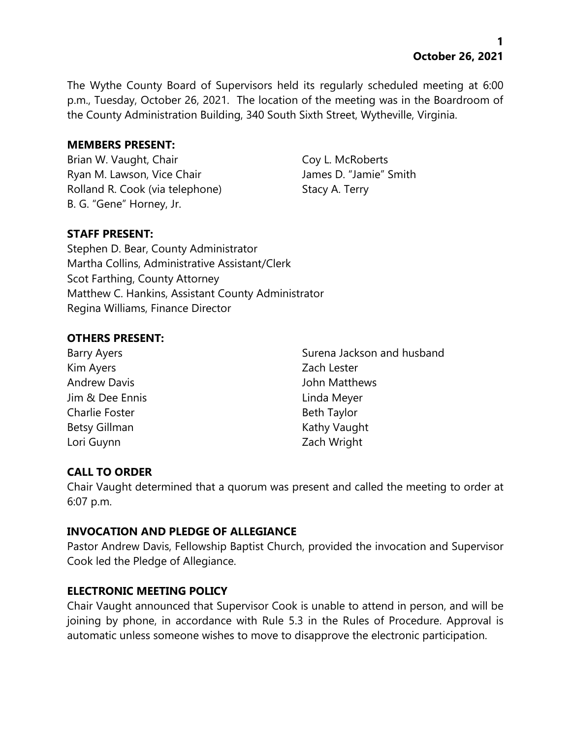**1 October 26, 2021**

The Wythe County Board of Supervisors held its regularly scheduled meeting at 6:00 p.m., Tuesday, October 26, 2021. The location of the meeting was in the Boardroom of the County Administration Building, 340 South Sixth Street, Wytheville, Virginia.

#### **MEMBERS PRESENT:**

Brian W. Vaught, Chair Coy L. McRoberts Ryan M. Lawson, Vice Chair **James D. "Jamie"** Smith Rolland R. Cook (via telephone) Stacy A. Terry B. G. "Gene" Horney, Jr.

# **STAFF PRESENT:**

Stephen D. Bear, County Administrator Martha Collins, Administrative Assistant/Clerk Scot Farthing, County Attorney Matthew C. Hankins, Assistant County Administrator Regina Williams, Finance Director

#### **OTHERS PRESENT:**

Kim Ayers **Zach Lester** Andrew Davis **Andrew Davis Andrew Davis Andrews** Jim & Dee Ennis Linda Meyer Charlie Foster **Beth Taylor** Beth Taylor Betsy Gillman Kathy Vaught Lori Guynn **Zach Wright** 

Barry Ayers Surena Jackson and husband

# **CALL TO ORDER**

Chair Vaught determined that a quorum was present and called the meeting to order at 6:07 p.m.

# **INVOCATION AND PLEDGE OF ALLEGIANCE**

Pastor Andrew Davis, Fellowship Baptist Church, provided the invocation and Supervisor Cook led the Pledge of Allegiance.

# **ELECTRONIC MEETING POLICY**

Chair Vaught announced that Supervisor Cook is unable to attend in person, and will be joining by phone, in accordance with Rule 5.3 in the Rules of Procedure. Approval is automatic unless someone wishes to move to disapprove the electronic participation.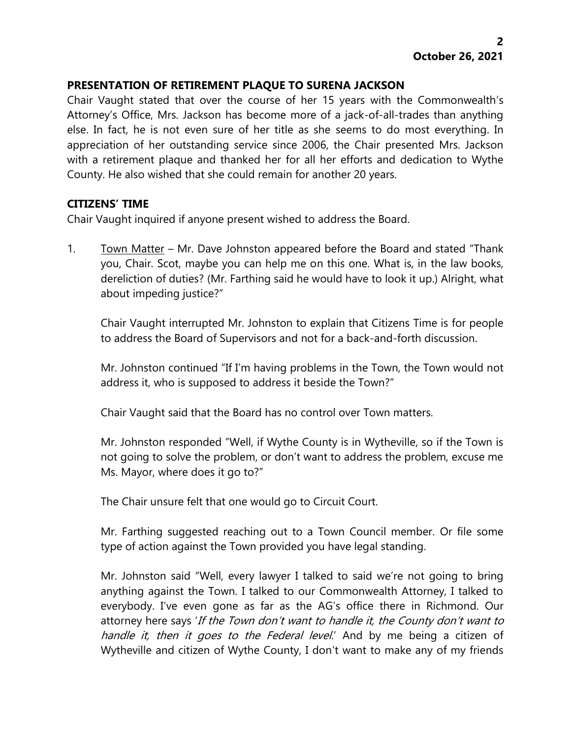# **PRESENTATION OF RETIREMENT PLAQUE TO SURENA JACKSON**

Chair Vaught stated that over the course of her 15 years with the Commonwealth's Attorney's Office, Mrs. Jackson has become more of a jack-of-all-trades than anything else. In fact, he is not even sure of her title as she seems to do most everything. In appreciation of her outstanding service since 2006, the Chair presented Mrs. Jackson with a retirement plaque and thanked her for all her efforts and dedication to Wythe County. He also wished that she could remain for another 20 years.

#### **CITIZENS' TIME**

Chair Vaught inquired if anyone present wished to address the Board.

1. Town Matter – Mr. Dave Johnston appeared before the Board and stated "Thank" you, Chair. Scot, maybe you can help me on this one. What is, in the law books, dereliction of duties? (Mr. Farthing said he would have to look it up.) Alright, what about impeding justice?"

Chair Vaught interrupted Mr. Johnston to explain that Citizens Time is for people to address the Board of Supervisors and not for a back-and-forth discussion.

Mr. Johnston continued "If I'm having problems in the Town, the Town would not address it, who is supposed to address it beside the Town?"

Chair Vaught said that the Board has no control over Town matters.

Mr. Johnston responded "Well, if Wythe County is in Wytheville, so if the Town is not going to solve the problem, or don't want to address the problem, excuse me Ms. Mayor, where does it go to?"

The Chair unsure felt that one would go to Circuit Court.

Mr. Farthing suggested reaching out to a Town Council member. Or file some type of action against the Town provided you have legal standing.

Mr. Johnston said "Well, every lawyer I talked to said we're not going to bring anything against the Town. I talked to our Commonwealth Attorney, I talked to everybody. I've even gone as far as the AG's office there in Richmond. Our attorney here says 'If the Town don't want to handle it, the County don't want to handle it, then it goes to the Federal level.' And by me being a citizen of Wytheville and citizen of Wythe County, I don't want to make any of my friends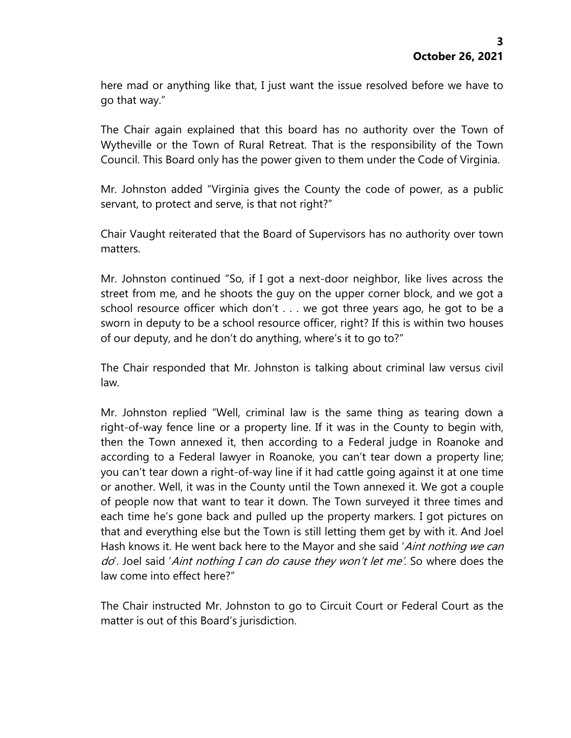here mad or anything like that, I just want the issue resolved before we have to go that way."

The Chair again explained that this board has no authority over the Town of Wytheville or the Town of Rural Retreat. That is the responsibility of the Town Council. This Board only has the power given to them under the Code of Virginia.

Mr. Johnston added "Virginia gives the County the code of power, as a public servant, to protect and serve, is that not right?"

Chair Vaught reiterated that the Board of Supervisors has no authority over town matters.

Mr. Johnston continued "So, if I got a next-door neighbor, like lives across the street from me, and he shoots the guy on the upper corner block, and we got a school resource officer which don't . . . we got three years ago, he got to be a sworn in deputy to be a school resource officer, right? If this is within two houses of our deputy, and he don't do anything, where's it to go to?"

The Chair responded that Mr. Johnston is talking about criminal law versus civil law.

Mr. Johnston replied "Well, criminal law is the same thing as tearing down a right-of-way fence line or a property line. If it was in the County to begin with, then the Town annexed it, then according to a Federal judge in Roanoke and according to a Federal lawyer in Roanoke, you can't tear down a property line; you can't tear down a right-of-way line if it had cattle going against it at one time or another. Well, it was in the County until the Town annexed it. We got a couple of people now that want to tear it down. The Town surveyed it three times and each time he's gone back and pulled up the property markers. I got pictures on that and everything else but the Town is still letting them get by with it. And Joel Hash knows it. He went back here to the Mayor and she said '*Aint nothing we can* do'. Joel said 'Aint nothing I can do cause they won't let me'. So where does the law come into effect here?"

The Chair instructed Mr. Johnston to go to Circuit Court or Federal Court as the matter is out of this Board's jurisdiction.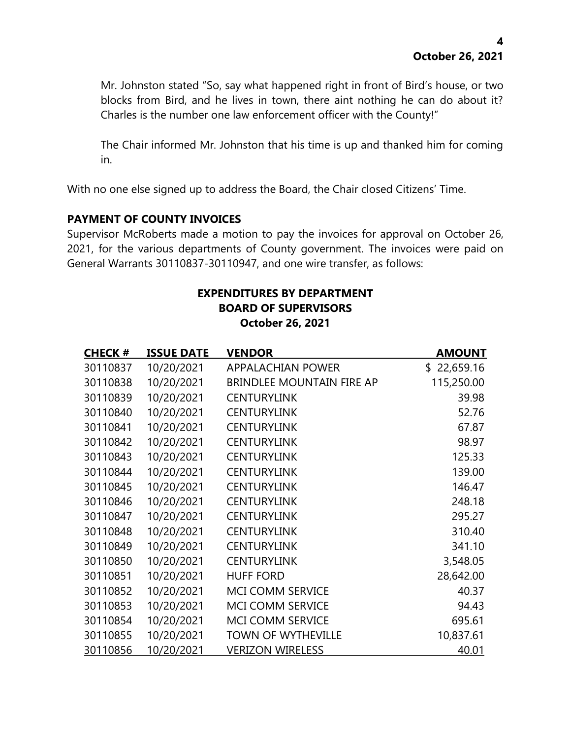Mr. Johnston stated "So, say what happened right in front of Bird's house, or two blocks from Bird, and he lives in town, there aint nothing he can do about it? Charles is the number one law enforcement officer with the County!"

The Chair informed Mr. Johnston that his time is up and thanked him for coming in.

With no one else signed up to address the Board, the Chair closed Citizens' Time.

# **PAYMENT OF COUNTY INVOICES**

Supervisor McRoberts made a motion to pay the invoices for approval on October 26, 2021, for the various departments of County government. The invoices were paid on General Warrants 30110837-30110947, and one wire transfer, as follows:

#### **EXPENDITURES BY DEPARTMENT BOARD OF SUPERVISORS October 26, 2021**

| <b>CHECK#</b> | <b>ISSUE DATE</b> | <b>VENDOR</b>                    | <b>AMOUNT</b> |
|---------------|-------------------|----------------------------------|---------------|
| 30110837      | 10/20/2021        | <b>APPALACHIAN POWER</b>         | \$22,659.16   |
| 30110838      | 10/20/2021        | <b>BRINDLEE MOUNTAIN FIRE AP</b> | 115,250.00    |
| 30110839      | 10/20/2021        | <b>CENTURYLINK</b>               | 39.98         |
| 30110840      | 10/20/2021        | <b>CENTURYLINK</b>               | 52.76         |
| 30110841      | 10/20/2021        | <b>CENTURYLINK</b>               | 67.87         |
| 30110842      | 10/20/2021        | <b>CENTURYLINK</b>               | 98.97         |
| 30110843      | 10/20/2021        | <b>CENTURYLINK</b>               | 125.33        |
| 30110844      | 10/20/2021        | <b>CENTURYLINK</b>               | 139.00        |
| 30110845      | 10/20/2021        | <b>CENTURYLINK</b>               | 146.47        |
| 30110846      | 10/20/2021        | <b>CENTURYLINK</b>               | 248.18        |
| 30110847      | 10/20/2021        | <b>CENTURYLINK</b>               | 295.27        |
| 30110848      | 10/20/2021        | <b>CENTURYLINK</b>               | 310.40        |
| 30110849      | 10/20/2021        | <b>CENTURYLINK</b>               | 341.10        |
| 30110850      | 10/20/2021        | <b>CENTURYLINK</b>               | 3,548.05      |
| 30110851      | 10/20/2021        | <b>HUFF FORD</b>                 | 28,642.00     |
| 30110852      | 10/20/2021        | MCI COMM SERVICE                 | 40.37         |
| 30110853      | 10/20/2021        | MCI COMM SERVICE                 | 94.43         |
| 30110854      | 10/20/2021        | <b>MCI COMM SERVICE</b>          | 695.61        |
| 30110855      | 10/20/2021        | <b>TOWN OF WYTHEVILLE</b>        | 10,837.61     |
| 30110856      | 10/20/2021        | <b>VERIZON WIRELESS</b>          | 40.01         |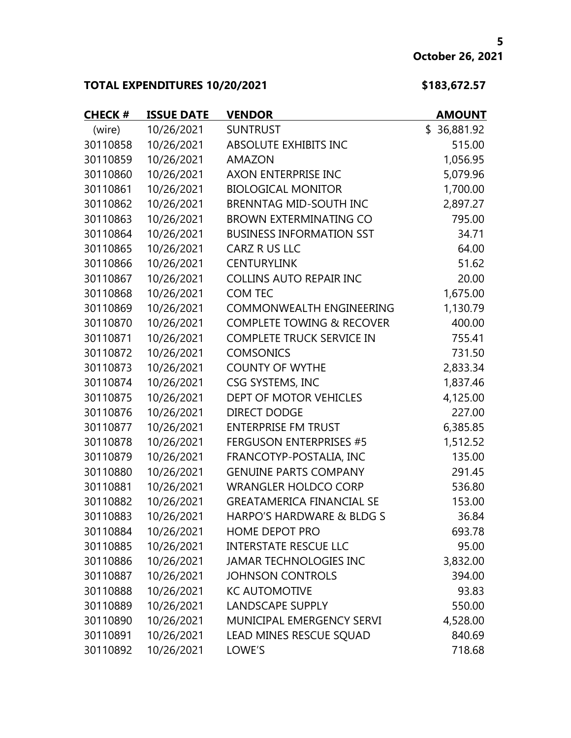# **TOTAL EXPENDITURES 10/20/2021 \$183,672.57**

| <b>CHECK#</b> | <b>ISSUE DATE</b> | <b>VENDOR</b>                        | <b>AMOUNT</b> |
|---------------|-------------------|--------------------------------------|---------------|
| (wire)        | 10/26/2021        | <b>SUNTRUST</b>                      | \$36,881.92   |
| 30110858      | 10/26/2021        | <b>ABSOLUTE EXHIBITS INC</b>         | 515.00        |
| 30110859      | 10/26/2021        | <b>AMAZON</b>                        | 1,056.95      |
| 30110860      | 10/26/2021        | AXON ENTERPRISE INC                  | 5,079.96      |
| 30110861      | 10/26/2021        | <b>BIOLOGICAL MONITOR</b>            | 1,700.00      |
| 30110862      | 10/26/2021        | <b>BRENNTAG MID-SOUTH INC</b>        | 2,897.27      |
| 30110863      | 10/26/2021        | <b>BROWN EXTERMINATING CO</b>        | 795.00        |
| 30110864      | 10/26/2021        | <b>BUSINESS INFORMATION SST</b>      | 34.71         |
| 30110865      | 10/26/2021        | CARZ R US LLC                        | 64.00         |
| 30110866      | 10/26/2021        | <b>CENTURYLINK</b>                   | 51.62         |
| 30110867      | 10/26/2021        | <b>COLLINS AUTO REPAIR INC</b>       | 20.00         |
| 30110868      | 10/26/2021        | <b>COM TEC</b>                       | 1,675.00      |
| 30110869      | 10/26/2021        | <b>COMMONWEALTH ENGINEERING</b>      | 1,130.79      |
| 30110870      | 10/26/2021        | <b>COMPLETE TOWING &amp; RECOVER</b> | 400.00        |
| 30110871      | 10/26/2021        | <b>COMPLETE TRUCK SERVICE IN</b>     | 755.41        |
| 30110872      | 10/26/2021        | <b>COMSONICS</b>                     | 731.50        |
| 30110873      | 10/26/2021        | <b>COUNTY OF WYTHE</b>               | 2,833.34      |
| 30110874      | 10/26/2021        | CSG SYSTEMS, INC                     | 1,837.46      |
| 30110875      | 10/26/2021        | DEPT OF MOTOR VEHICLES               | 4,125.00      |
| 30110876      | 10/26/2021        | <b>DIRECT DODGE</b>                  | 227.00        |
| 30110877      | 10/26/2021        | <b>ENTERPRISE FM TRUST</b>           | 6,385.85      |
| 30110878      | 10/26/2021        | <b>FERGUSON ENTERPRISES #5</b>       | 1,512.52      |
| 30110879      | 10/26/2021        | FRANCOTYP-POSTALIA, INC              | 135.00        |
| 30110880      | 10/26/2021        | <b>GENUINE PARTS COMPANY</b>         | 291.45        |
| 30110881      | 10/26/2021        | <b>WRANGLER HOLDCO CORP</b>          | 536.80        |
| 30110882      | 10/26/2021        | <b>GREATAMERICA FINANCIAL SE</b>     | 153.00        |
| 30110883      | 10/26/2021        | HARPO'S HARDWARE & BLDG S            | 36.84         |
| 30110884      | 10/26/2021        | HOME DEPOT PRO                       | 693.78        |
| 30110885      | 10/26/2021        | <b>INTERSTATE RESCUE LLC</b>         | 95.00         |
| 30110886      | 10/26/2021        | <b>JAMAR TECHNOLOGIES INC</b>        | 3,832.00      |
| 30110887      | 10/26/2021        | <b>JOHNSON CONTROLS</b>              | 394.00        |
| 30110888      | 10/26/2021        | <b>KC AUTOMOTIVE</b>                 | 93.83         |
| 30110889      | 10/26/2021        | <b>LANDSCAPE SUPPLY</b>              | 550.00        |
| 30110890      | 10/26/2021        | MUNICIPAL EMERGENCY SERVI            | 4,528.00      |
| 30110891      | 10/26/2021        | LEAD MINES RESCUE SQUAD              | 840.69        |
| 30110892      | 10/26/2021        | LOWE'S                               | 718.68        |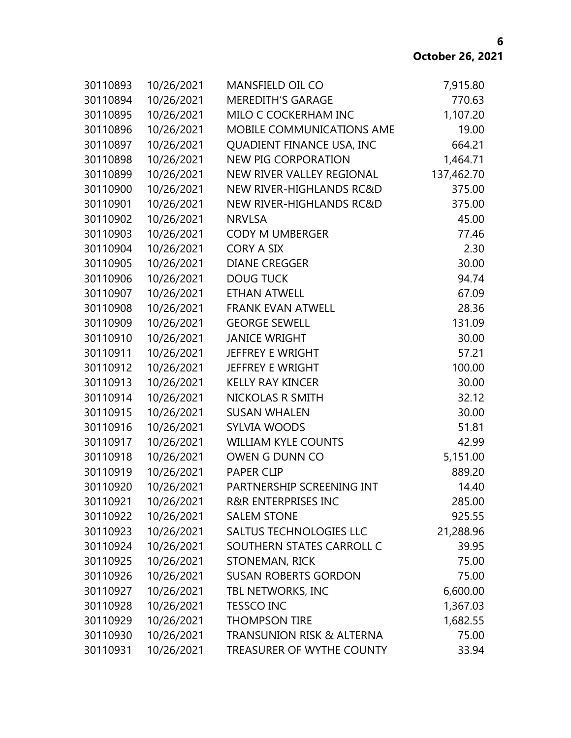| 30110893 | 10/26/2021 | <b>MANSFIELD OIL CO</b>              | 7,915.80   |
|----------|------------|--------------------------------------|------------|
| 30110894 | 10/26/2021 | <b>MEREDITH'S GARAGE</b>             | 770.63     |
| 30110895 | 10/26/2021 | MILO C COCKERHAM INC                 | 1,107.20   |
| 30110896 | 10/26/2021 | MOBILE COMMUNICATIONS AME            | 19.00      |
| 30110897 | 10/26/2021 | QUADIENT FINANCE USA, INC            | 664.21     |
| 30110898 | 10/26/2021 | NEW PIG CORPORATION                  | 1,464.71   |
| 30110899 | 10/26/2021 | NEW RIVER VALLEY REGIONAL            | 137,462.70 |
| 30110900 | 10/26/2021 | NEW RIVER-HIGHLANDS RC&D             | 375.00     |
| 30110901 | 10/26/2021 | NEW RIVER-HIGHLANDS RC&D             | 375.00     |
| 30110902 | 10/26/2021 | <b>NRVLSA</b>                        | 45.00      |
| 30110903 | 10/26/2021 | CODY M UMBERGER                      | 77.46      |
| 30110904 | 10/26/2021 | <b>CORY A SIX</b>                    | 2.30       |
| 30110905 | 10/26/2021 | <b>DIANE CREGGER</b>                 | 30.00      |
| 30110906 | 10/26/2021 | <b>DOUG TUCK</b>                     | 94.74      |
| 30110907 | 10/26/2021 | <b>ETHAN ATWELL</b>                  | 67.09      |
| 30110908 | 10/26/2021 | <b>FRANK EVAN ATWELL</b>             | 28.36      |
| 30110909 | 10/26/2021 | <b>GEORGE SEWELL</b>                 | 131.09     |
| 30110910 | 10/26/2021 | <b>JANICE WRIGHT</b>                 | 30.00      |
| 30110911 | 10/26/2021 | JEFFREY E WRIGHT                     | 57.21      |
| 30110912 | 10/26/2021 | JEFFREY E WRIGHT                     | 100.00     |
| 30110913 | 10/26/2021 | <b>KELLY RAY KINCER</b>              | 30.00      |
| 30110914 | 10/26/2021 | NICKOLAS R SMITH                     | 32.12      |
| 30110915 | 10/26/2021 | <b>SUSAN WHALEN</b>                  | 30.00      |
| 30110916 | 10/26/2021 | <b>SYLVIA WOODS</b>                  | 51.81      |
| 30110917 | 10/26/2021 | <b>WILLIAM KYLE COUNTS</b>           | 42.99      |
| 30110918 | 10/26/2021 | OWEN G DUNN CO                       | 5,151.00   |
| 30110919 | 10/26/2021 | <b>PAPER CLIP</b>                    | 889.20     |
| 30110920 | 10/26/2021 | PARTNERSHIP SCREENING INT            | 14.40      |
| 30110921 | 10/26/2021 | <b>R&amp;R ENTERPRISES INC</b>       | 285.00     |
| 30110922 | 10/26/2021 | <b>SALEM STONE</b>                   | 925.55     |
| 30110923 | 10/26/2021 | <b>SALTUS TECHNOLOGIES LLC</b>       | 21,288.96  |
| 30110924 | 10/26/2021 | SOUTHERN STATES CARROLL C            | 39.95      |
| 30110925 | 10/26/2021 | STONEMAN, RICK                       | 75.00      |
| 30110926 | 10/26/2021 | <b>SUSAN ROBERTS GORDON</b>          | 75.00      |
| 30110927 | 10/26/2021 | TBL NETWORKS, INC                    | 6,600.00   |
| 30110928 | 10/26/2021 | <b>TESSCO INC</b>                    | 1,367.03   |
| 30110929 | 10/26/2021 | <b>THOMPSON TIRE</b>                 | 1,682.55   |
| 30110930 | 10/26/2021 | <b>TRANSUNION RISK &amp; ALTERNA</b> | 75.00      |
| 30110931 | 10/26/2021 | TREASURER OF WYTHE COUNTY            | 33.94      |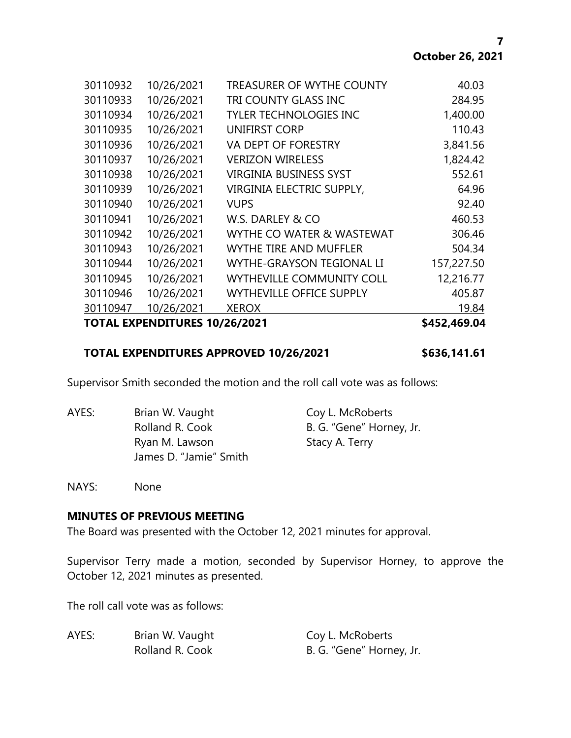| <b>TOTAL EXPENDITURES 10/26/2021</b> |            |                                  | \$452,469.04 |
|--------------------------------------|------------|----------------------------------|--------------|
| 30110947                             | 10/26/2021 | <b>XEROX</b>                     | 19.84        |
| 30110946                             | 10/26/2021 | <b>WYTHEVILLE OFFICE SUPPLY</b>  | 405.87       |
| 30110945                             | 10/26/2021 | <b>WYTHEVILLE COMMUNITY COLL</b> | 12,216.77    |
| 30110944                             | 10/26/2021 | <b>WYTHE-GRAYSON TEGIONAL LI</b> | 157,227.50   |
| 30110943                             | 10/26/2021 | <b>WYTHE TIRE AND MUFFLER</b>    | 504.34       |
| 30110942                             | 10/26/2021 | WYTHE CO WATER & WASTEWAT        | 306.46       |
| 30110941                             | 10/26/2021 | W.S. DARLEY & CO                 | 460.53       |
| 30110940                             | 10/26/2021 | <b>VUPS</b>                      | 92.40        |
| 30110939                             | 10/26/2021 | VIRGINIA ELECTRIC SUPPLY,        | 64.96        |
| 30110938                             | 10/26/2021 | <b>VIRGINIA BUSINESS SYST</b>    | 552.61       |
| 30110937                             | 10/26/2021 | <b>VERIZON WIRELESS</b>          | 1,824.42     |
| 30110936                             | 10/26/2021 | VA DEPT OF FORESTRY              | 3,841.56     |
| 30110935                             | 10/26/2021 | <b>UNIFIRST CORP</b>             | 110.43       |
| 30110934                             | 10/26/2021 | <b>TYLER TECHNOLOGIES INC</b>    | 1,400.00     |
| 30110933                             | 10/26/2021 | TRI COUNTY GLASS INC             | 284.95       |
| 30110932                             | 10/26/2021 | <b>TREASURER OF WYTHE COUNTY</b> | 40.03        |

# **TOTAL EXPENDITURES APPROVED 10/26/2021 \$636,141.61**

Supervisor Smith seconded the motion and the roll call vote was as follows:

AYES: Brian W. Vaught Coy L. McRoberts Rolland R. Cook B. G. "Gene" Horney, Jr. Ryan M. Lawson Stacy A. Terry James D. "Jamie" Smith

NAYS: None

#### **MINUTES OF PREVIOUS MEETING**

The Board was presented with the October 12, 2021 minutes for approval.

Supervisor Terry made a motion, seconded by Supervisor Horney, to approve the October 12, 2021 minutes as presented.

The roll call vote was as follows:

| AYES: | Brian W. Vaught | Coy L. McRoberts         |  |
|-------|-----------------|--------------------------|--|
|       | Rolland R. Cook | B. G. "Gene" Horney, Jr. |  |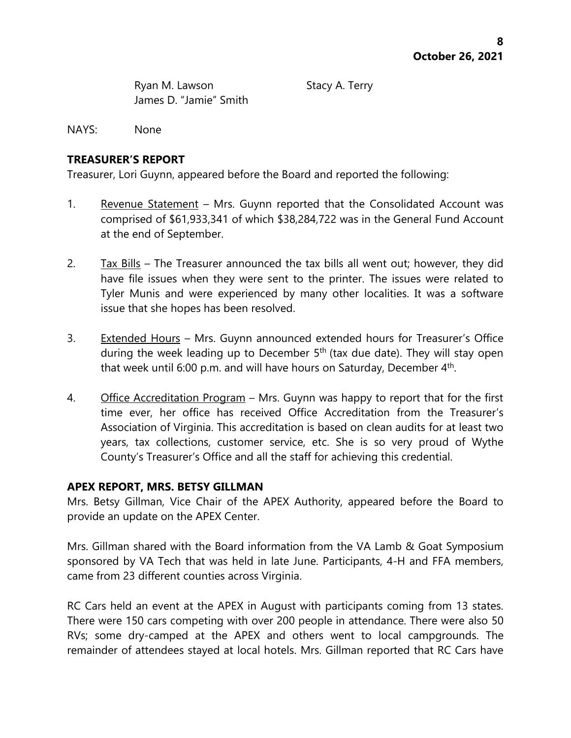Ryan M. Lawson Stacy A. Terry James D. "Jamie" Smith

NAYS: None

# **TREASURER'S REPORT**

Treasurer, Lori Guynn, appeared before the Board and reported the following:

- 1. Revenue Statement Mrs. Guynn reported that the Consolidated Account was comprised of \$61,933,341 of which \$38,284,722 was in the General Fund Account at the end of September.
- 2.  $\frac{7ax \text{ } Bills}{x}$  The Treasurer announced the tax bills all went out; however, they did have file issues when they were sent to the printer. The issues were related to Tyler Munis and were experienced by many other localities. It was a software issue that she hopes has been resolved.
- 3. Extended Hours Mrs. Guynn announced extended hours for Treasurer's Office during the week leading up to December 5<sup>th</sup> (tax due date). They will stay open that week until 6:00 p.m. and will have hours on Saturday, December 4<sup>th</sup>.
- 4. Office Accreditation Program Mrs. Guynn was happy to report that for the first time ever, her office has received Office Accreditation from the Treasurer's Association of Virginia. This accreditation is based on clean audits for at least two years, tax collections, customer service, etc. She is so very proud of Wythe County's Treasurer's Office and all the staff for achieving this credential.

# **APEX REPORT, MRS. BETSY GILLMAN**

Mrs. Betsy Gillman, Vice Chair of the APEX Authority, appeared before the Board to provide an update on the APEX Center.

Mrs. Gillman shared with the Board information from the VA Lamb & Goat Symposium sponsored by VA Tech that was held in late June. Participants, 4-H and FFA members, came from 23 different counties across Virginia.

RC Cars held an event at the APEX in August with participants coming from 13 states. There were 150 cars competing with over 200 people in attendance. There were also 50 RVs; some dry-camped at the APEX and others went to local campgrounds. The remainder of attendees stayed at local hotels. Mrs. Gillman reported that RC Cars have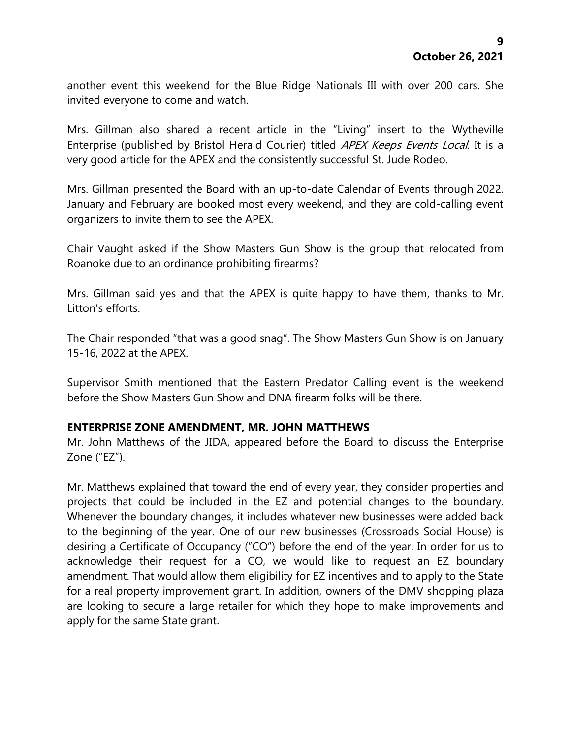another event this weekend for the Blue Ridge Nationals III with over 200 cars. She invited everyone to come and watch.

Mrs. Gillman also shared a recent article in the "Living" insert to the Wytheville Enterprise (published by Bristol Herald Courier) titled APEX Keeps Events Local. It is a very good article for the APEX and the consistently successful St. Jude Rodeo.

Mrs. Gillman presented the Board with an up-to-date Calendar of Events through 2022. January and February are booked most every weekend, and they are cold-calling event organizers to invite them to see the APEX.

Chair Vaught asked if the Show Masters Gun Show is the group that relocated from Roanoke due to an ordinance prohibiting firearms?

Mrs. Gillman said yes and that the APEX is quite happy to have them, thanks to Mr. Litton's efforts.

The Chair responded "that was a good snag". The Show Masters Gun Show is on January 15-16, 2022 at the APEX.

Supervisor Smith mentioned that the Eastern Predator Calling event is the weekend before the Show Masters Gun Show and DNA firearm folks will be there.

# **ENTERPRISE ZONE AMENDMENT, MR. JOHN MATTHEWS**

Mr. John Matthews of the JIDA, appeared before the Board to discuss the Enterprise Zone ("EZ").

Mr. Matthews explained that toward the end of every year, they consider properties and projects that could be included in the EZ and potential changes to the boundary. Whenever the boundary changes, it includes whatever new businesses were added back to the beginning of the year. One of our new businesses (Crossroads Social House) is desiring a Certificate of Occupancy ("CO") before the end of the year. In order for us to acknowledge their request for a CO, we would like to request an EZ boundary amendment. That would allow them eligibility for EZ incentives and to apply to the State for a real property improvement grant. In addition, owners of the DMV shopping plaza are looking to secure a large retailer for which they hope to make improvements and apply for the same State grant.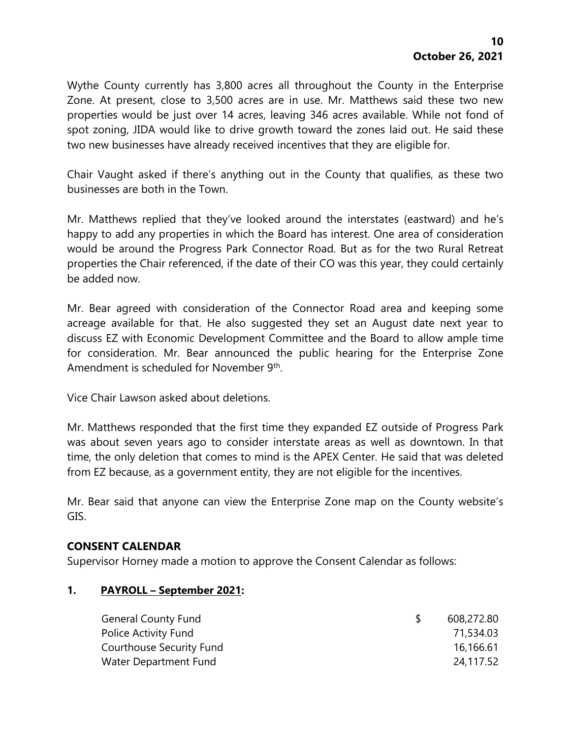Wythe County currently has 3,800 acres all throughout the County in the Enterprise Zone. At present, close to 3,500 acres are in use. Mr. Matthews said these two new properties would be just over 14 acres, leaving 346 acres available. While not fond of spot zoning, JIDA would like to drive growth toward the zones laid out. He said these two new businesses have already received incentives that they are eligible for.

Chair Vaught asked if there's anything out in the County that qualifies, as these two businesses are both in the Town.

Mr. Matthews replied that they've looked around the interstates (eastward) and he's happy to add any properties in which the Board has interest. One area of consideration would be around the Progress Park Connector Road. But as for the two Rural Retreat properties the Chair referenced, if the date of their CO was this year, they could certainly be added now.

Mr. Bear agreed with consideration of the Connector Road area and keeping some acreage available for that. He also suggested they set an August date next year to discuss EZ with Economic Development Committee and the Board to allow ample time for consideration. Mr. Bear announced the public hearing for the Enterprise Zone Amendment is scheduled for November 9<sup>th</sup>.

Vice Chair Lawson asked about deletions.

Mr. Matthews responded that the first time they expanded EZ outside of Progress Park was about seven years ago to consider interstate areas as well as downtown. In that time, the only deletion that comes to mind is the APEX Center. He said that was deleted from EZ because, as a government entity, they are not eligible for the incentives.

Mr. Bear said that anyone can view the Enterprise Zone map on the County website's GIS.

# **CONSENT CALENDAR**

Supervisor Horney made a motion to approve the Consent Calendar as follows:

#### **1. PAYROLL – September 2021:**

| <b>General County Fund</b> | 608,272.80 |
|----------------------------|------------|
| Police Activity Fund       | 71,534.03  |
| Courthouse Security Fund   | 16,166.61  |
| Water Department Fund      | 24,117.52  |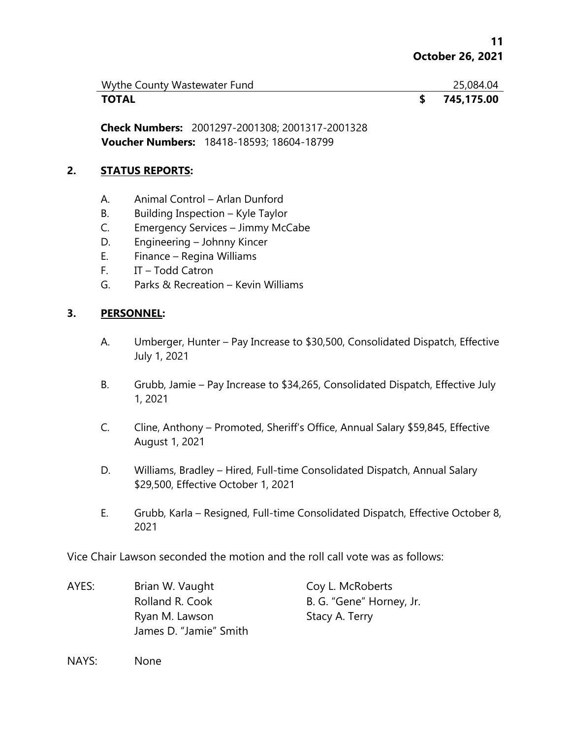| Wythe County Wastewater Fund | 25,084.04  |
|------------------------------|------------|
| <b>TOTAL</b>                 | 745,175.00 |

**Check Numbers:** 2001297-2001308; 2001317-2001328 **Voucher Numbers:** 18418-18593; 18604-18799

#### **2. STATUS REPORTS:**

- A. Animal Control Arlan Dunford
- B. Building Inspection Kyle Taylor
- C. Emergency Services Jimmy McCabe
- D. Engineering Johnny Kincer
- E. Finance Regina Williams
- F. IT Todd Catron
- G. Parks & Recreation Kevin Williams

#### **3. PERSONNEL:**

- A. Umberger, Hunter Pay Increase to \$30,500, Consolidated Dispatch, Effective July 1, 2021
- B. Grubb, Jamie Pay Increase to \$34,265, Consolidated Dispatch, Effective July 1, 2021
- C. Cline, Anthony Promoted, Sheriff's Office, Annual Salary \$59,845, Effective August 1, 2021
- D. Williams, Bradley Hired, Full-time Consolidated Dispatch, Annual Salary \$29,500, Effective October 1, 2021
- E. Grubb, Karla Resigned, Full-time Consolidated Dispatch, Effective October 8, 2021

Vice Chair Lawson seconded the motion and the roll call vote was as follows:

AYES: Brian W. Vaught Coy L. McRoberts Rolland R. Cook B. G. "Gene" Horney, Jr. Ryan M. Lawson Stacy A. Terry James D. "Jamie" Smith

NAYS: None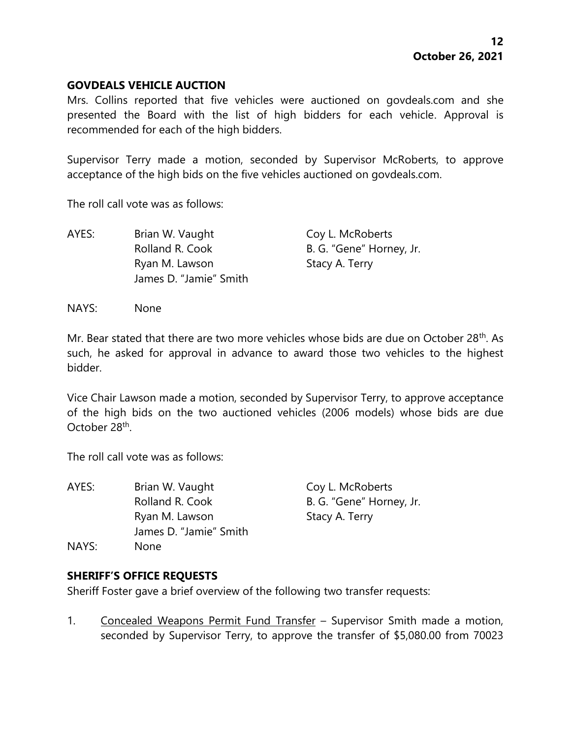#### **GOVDEALS VEHICLE AUCTION**

Mrs. Collins reported that five vehicles were auctioned on govdeals.com and she presented the Board with the list of high bidders for each vehicle. Approval is recommended for each of the high bidders.

Supervisor Terry made a motion, seconded by Supervisor McRoberts, to approve acceptance of the high bids on the five vehicles auctioned on govdeals.com.

The roll call vote was as follows:

| AYES: | Brian W. Vaught        | Coy L. McRoberts         |
|-------|------------------------|--------------------------|
|       | Rolland R. Cook        | B. G. "Gene" Horney, Jr. |
|       | Ryan M. Lawson         | Stacy A. Terry           |
|       | James D. "Jamie" Smith |                          |

NAYS: None

Mr. Bear stated that there are two more vehicles whose bids are due on October 28<sup>th</sup>. As such, he asked for approval in advance to award those two vehicles to the highest bidder.

Vice Chair Lawson made a motion, seconded by Supervisor Terry, to approve acceptance of the high bids on the two auctioned vehicles (2006 models) whose bids are due October 28<sup>th</sup>.

The roll call vote was as follows:

| AYES: | Brian W. Vaught        |   |
|-------|------------------------|---|
|       | Rolland R. Cook        | В |
|       | Ryan M. Lawson         | S |
|       | James D. "Jamie" Smith |   |
| NAYS: | None                   |   |

oy L. McRoberts . G. "Gene" Horney, Jr. tacy A. Terry

# **SHERIFF'S OFFICE REQUESTS**

Sheriff Foster gave a brief overview of the following two transfer requests:

1. Concealed Weapons Permit Fund Transfer – Supervisor Smith made a motion, seconded by Supervisor Terry, to approve the transfer of \$5,080.00 from 70023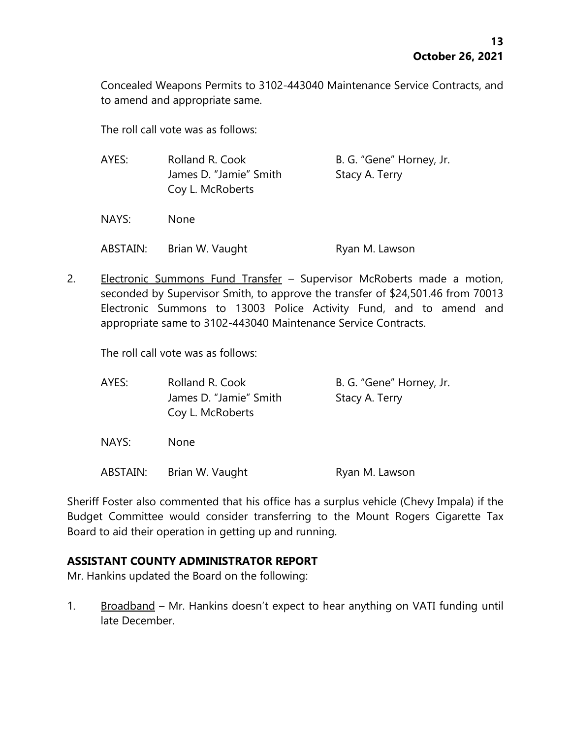Concealed Weapons Permits to 3102-443040 Maintenance Service Contracts, and to amend and appropriate same.

The roll call vote was as follows:

| AYES:    | Rolland R. Cook<br>James D. "Jamie" Smith<br>Coy L. McRoberts | B. G. "Gene" Horney, Jr.<br>Stacy A. Terry |
|----------|---------------------------------------------------------------|--------------------------------------------|
| NAYS:    | None                                                          |                                            |
| ABSTAIN: | Brian W. Vaught                                               | Ryan M. Lawson                             |

2. Electronic Summons Fund Transfer - Supervisor McRoberts made a motion, seconded by Supervisor Smith, to approve the transfer of \$24,501.46 from 70013 Electronic Summons to 13003 Police Activity Fund, and to amend and appropriate same to 3102-443040 Maintenance Service Contracts.

The roll call vote was as follows:

| AYES:    | Rolland R. Cook        | B. G. "Gene" Horney, Jr. |
|----------|------------------------|--------------------------|
|          | James D. "Jamie" Smith | Stacy A. Terry           |
|          | Coy L. McRoberts       |                          |
| NAYS:    | <b>None</b>            |                          |
| ABSTAIN: | Brian W. Vaught        | Ryan M. Lawson           |

Sheriff Foster also commented that his office has a surplus vehicle (Chevy Impala) if the Budget Committee would consider transferring to the Mount Rogers Cigarette Tax Board to aid their operation in getting up and running.

# **ASSISTANT COUNTY ADMINISTRATOR REPORT**

Mr. Hankins updated the Board on the following:

1. Broadband – Mr. Hankins doesn't expect to hear anything on VATI funding until late December.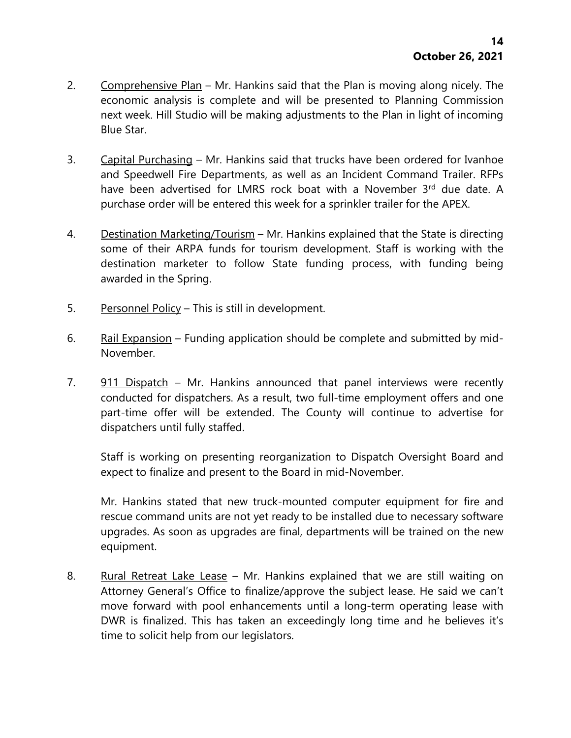- 2. Comprehensive Plan Mr. Hankins said that the Plan is moving along nicely. The economic analysis is complete and will be presented to Planning Commission next week. Hill Studio will be making adjustments to the Plan in light of incoming Blue Star.
- 3. Capital Purchasing Mr. Hankins said that trucks have been ordered for Ivanhoe and Speedwell Fire Departments, as well as an Incident Command Trailer. RFPs have been advertised for LMRS rock boat with a November 3rd due date. A purchase order will be entered this week for a sprinkler trailer for the APEX.
- 4. Destination Marketing/Tourism Mr. Hankins explained that the State is directing some of their ARPA funds for tourism development. Staff is working with the destination marketer to follow State funding process, with funding being awarded in the Spring.
- 5. Personnel Policy This is still in development.
- 6. Rail Expansion Funding application should be complete and submitted by mid-November.
- 7. 911 Dispatch Mr. Hankins announced that panel interviews were recently conducted for dispatchers. As a result, two full-time employment offers and one part-time offer will be extended. The County will continue to advertise for dispatchers until fully staffed.

Staff is working on presenting reorganization to Dispatch Oversight Board and expect to finalize and present to the Board in mid-November.

Mr. Hankins stated that new truck-mounted computer equipment for fire and rescue command units are not yet ready to be installed due to necessary software upgrades. As soon as upgrades are final, departments will be trained on the new equipment.

8. Rural Retreat Lake Lease – Mr. Hankins explained that we are still waiting on Attorney General's Office to finalize/approve the subject lease. He said we can't move forward with pool enhancements until a long-term operating lease with DWR is finalized. This has taken an exceedingly long time and he believes it's time to solicit help from our legislators.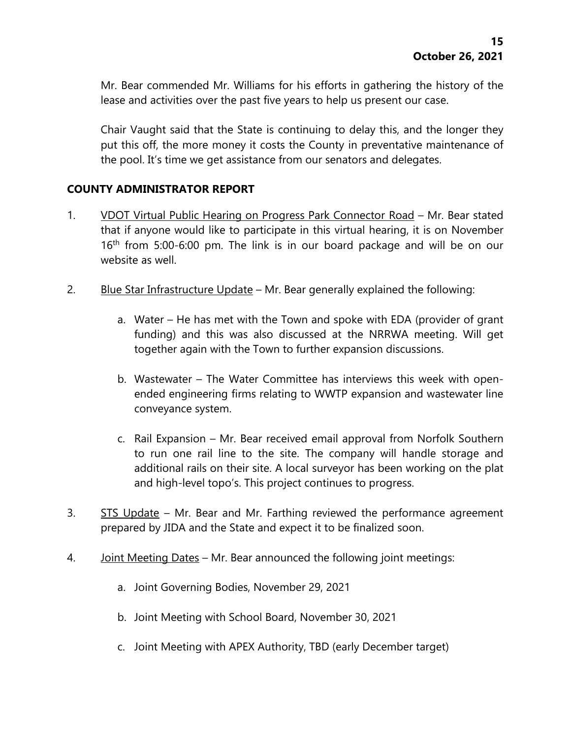Mr. Bear commended Mr. Williams for his efforts in gathering the history of the lease and activities over the past five years to help us present our case.

Chair Vaught said that the State is continuing to delay this, and the longer they put this off, the more money it costs the County in preventative maintenance of the pool. It's time we get assistance from our senators and delegates.

# **COUNTY ADMINISTRATOR REPORT**

- 1. VDOT Virtual Public Hearing on Progress Park Connector Road Mr. Bear stated that if anyone would like to participate in this virtual hearing, it is on November 16<sup>th</sup> from 5:00-6:00 pm. The link is in our board package and will be on our website as well.
- 2. Blue Star Infrastructure Update Mr. Bear generally explained the following:
	- a. Water He has met with the Town and spoke with EDA (provider of grant funding) and this was also discussed at the NRRWA meeting. Will get together again with the Town to further expansion discussions.
	- b. Wastewater The Water Committee has interviews this week with openended engineering firms relating to WWTP expansion and wastewater line conveyance system.
	- c. Rail Expansion Mr. Bear received email approval from Norfolk Southern to run one rail line to the site. The company will handle storage and additional rails on their site. A local surveyor has been working on the plat and high-level topo's. This project continues to progress.
- 3. STS Update Mr. Bear and Mr. Farthing reviewed the performance agreement prepared by JIDA and the State and expect it to be finalized soon.
- 4. Joint Meeting Dates Mr. Bear announced the following joint meetings:
	- a. Joint Governing Bodies, November 29, 2021
	- b. Joint Meeting with School Board, November 30, 2021
	- c. Joint Meeting with APEX Authority, TBD (early December target)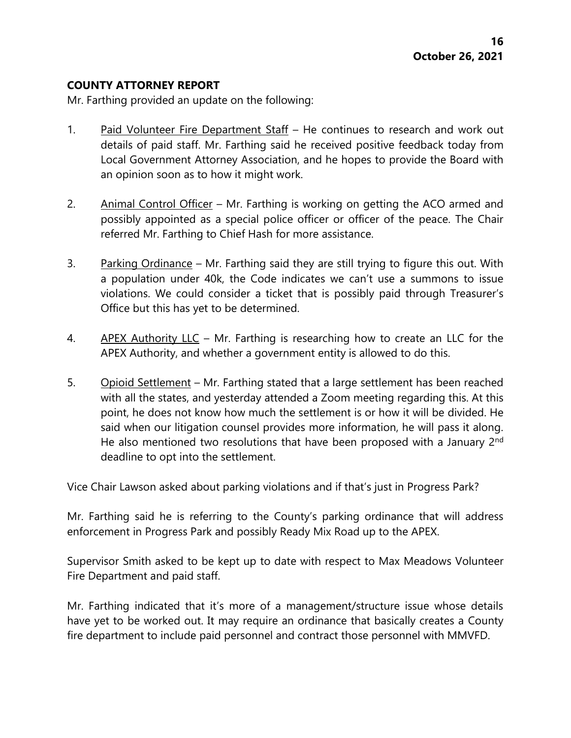#### **COUNTY ATTORNEY REPORT**

Mr. Farthing provided an update on the following:

- 1. Paid Volunteer Fire Department Staff He continues to research and work out details of paid staff. Mr. Farthing said he received positive feedback today from Local Government Attorney Association, and he hopes to provide the Board with an opinion soon as to how it might work.
- 2. Animal Control Officer Mr. Farthing is working on getting the ACO armed and possibly appointed as a special police officer or officer of the peace. The Chair referred Mr. Farthing to Chief Hash for more assistance.
- 3. Parking Ordinance Mr. Farthing said they are still trying to figure this out. With a population under 40k, the Code indicates we can't use a summons to issue violations. We could consider a ticket that is possibly paid through Treasurer's Office but this has yet to be determined.
- 4. APEX Authority LLC Mr. Farthing is researching how to create an LLC for the APEX Authority, and whether a government entity is allowed to do this.
- 5. Opioid Settlement Mr. Farthing stated that a large settlement has been reached with all the states, and yesterday attended a Zoom meeting regarding this. At this point, he does not know how much the settlement is or how it will be divided. He said when our litigation counsel provides more information, he will pass it along. He also mentioned two resolutions that have been proposed with a January 2<sup>nd</sup> deadline to opt into the settlement.

Vice Chair Lawson asked about parking violations and if that's just in Progress Park?

Mr. Farthing said he is referring to the County's parking ordinance that will address enforcement in Progress Park and possibly Ready Mix Road up to the APEX.

Supervisor Smith asked to be kept up to date with respect to Max Meadows Volunteer Fire Department and paid staff.

Mr. Farthing indicated that it's more of a management/structure issue whose details have yet to be worked out. It may require an ordinance that basically creates a County fire department to include paid personnel and contract those personnel with MMVFD.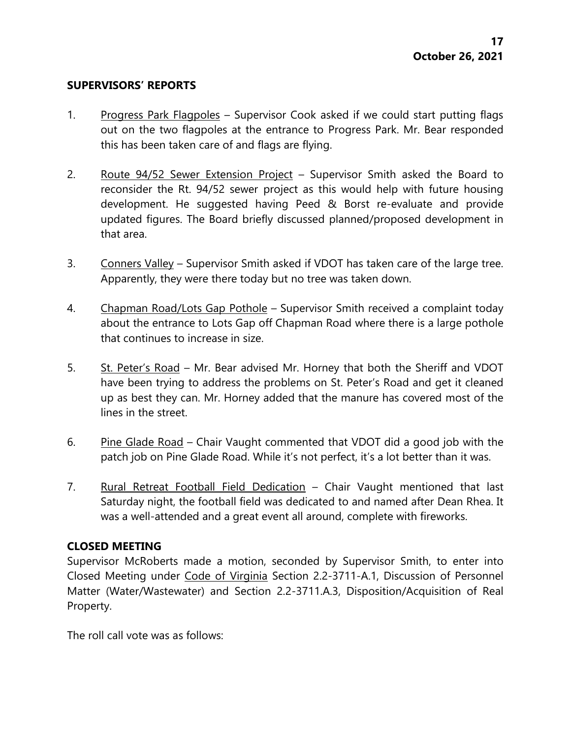#### **SUPERVISORS' REPORTS**

- 1. Progress Park Flagpoles Supervisor Cook asked if we could start putting flags out on the two flagpoles at the entrance to Progress Park. Mr. Bear responded this has been taken care of and flags are flying.
- 2. Route 94/52 Sewer Extension Project Supervisor Smith asked the Board to reconsider the Rt. 94/52 sewer project as this would help with future housing development. He suggested having Peed & Borst re-evaluate and provide updated figures. The Board briefly discussed planned/proposed development in that area.
- 3. Conners Valley Supervisor Smith asked if VDOT has taken care of the large tree. Apparently, they were there today but no tree was taken down.
- 4. Chapman Road/Lots Gap Pothole Supervisor Smith received a complaint today about the entrance to Lots Gap off Chapman Road where there is a large pothole that continues to increase in size.
- 5. St. Peter's Road Mr. Bear advised Mr. Horney that both the Sheriff and VDOT have been trying to address the problems on St. Peter's Road and get it cleaned up as best they can. Mr. Horney added that the manure has covered most of the lines in the street.
- 6. Pine Glade Road Chair Vaught commented that VDOT did a good job with the patch job on Pine Glade Road. While it's not perfect, it's a lot better than it was.
- 7. Rural Retreat Football Field Dedication Chair Vaught mentioned that last Saturday night, the football field was dedicated to and named after Dean Rhea. It was a well-attended and a great event all around, complete with fireworks.

# **CLOSED MEETING**

Supervisor McRoberts made a motion, seconded by Supervisor Smith, to enter into Closed Meeting under Code of Virginia Section 2.2-3711-A.1, Discussion of Personnel Matter (Water/Wastewater) and Section 2.2-3711.A.3, Disposition/Acquisition of Real Property.

The roll call vote was as follows: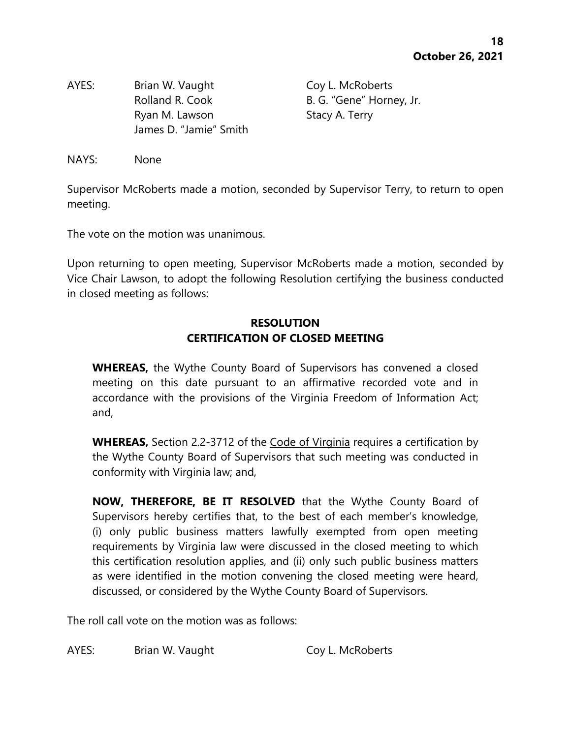AYES: Brian W. Vaught Coy L. McRoberts Rolland R. Cook B. G. "Gene" Horney, Jr. Ryan M. Lawson Stacy A. Terry James D. "Jamie" Smith

NAYS: None

Supervisor McRoberts made a motion, seconded by Supervisor Terry, to return to open meeting.

The vote on the motion was unanimous.

Upon returning to open meeting, Supervisor McRoberts made a motion, seconded by Vice Chair Lawson, to adopt the following Resolution certifying the business conducted in closed meeting as follows:

# **RESOLUTION CERTIFICATION OF CLOSED MEETING**

**WHEREAS,** the Wythe County Board of Supervisors has convened a closed meeting on this date pursuant to an affirmative recorded vote and in accordance with the provisions of the Virginia Freedom of Information Act; and,

**WHEREAS,** Section 2.2-3712 of the Code of Virginia requires a certification by the Wythe County Board of Supervisors that such meeting was conducted in conformity with Virginia law; and,

**NOW, THEREFORE, BE IT RESOLVED** that the Wythe County Board of Supervisors hereby certifies that, to the best of each member's knowledge, (i) only public business matters lawfully exempted from open meeting requirements by Virginia law were discussed in the closed meeting to which this certification resolution applies, and (ii) only such public business matters as were identified in the motion convening the closed meeting were heard, discussed, or considered by the Wythe County Board of Supervisors.

The roll call vote on the motion was as follows:

AYES: Brian W. Vaught Coy L. McRoberts